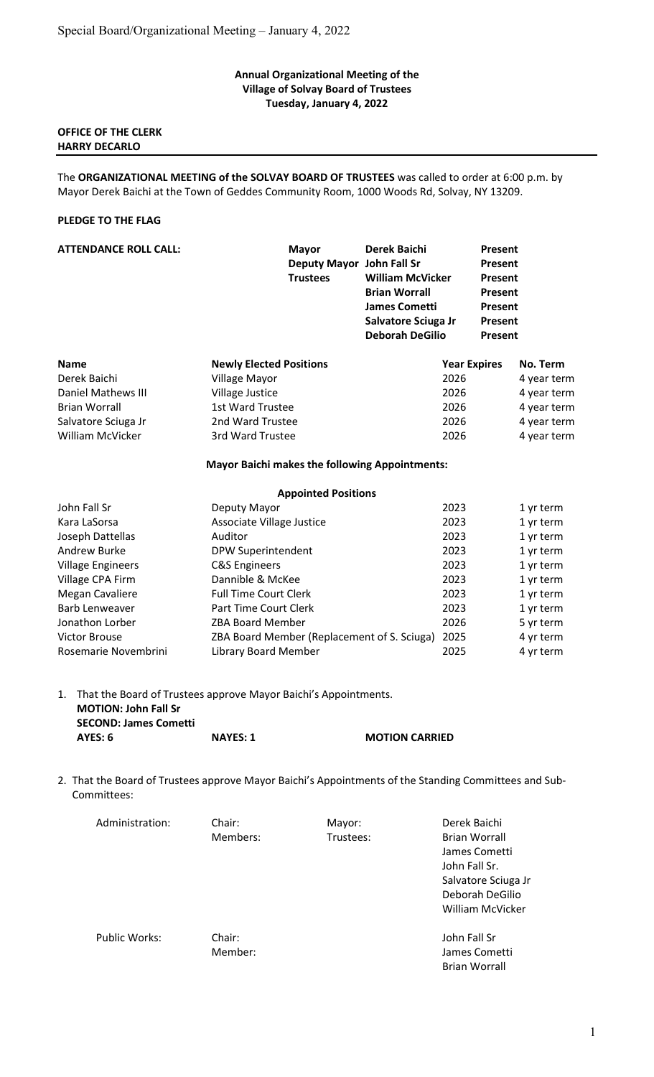# Annual Organizational Meeting of the Village of Solvay Board of Trustees Tuesday, January 4, 2022

# OFFICE OF THE CLERK HARRY DECARLO

The ORGANIZATIONAL MEETING of the SOLVAY BOARD OF TRUSTEES was called to order at 6:00 p.m. by Mayor Derek Baichi at the Town of Geddes Community Room, 1000 Woods Rd, Solvay, NY 13209.

# PLEDGE TO THE FLAG

| <b>ATTENDANCE ROLL CALL:</b> | <b>Mayor</b><br>Deputy Mayor John Fall Sr<br><b>Trustees</b> | Derek Baichi<br><b>William McVicker</b><br><b>Brian Worrall</b>       | <b>Present</b><br><b>Present</b><br>Present<br>Present |             |
|------------------------------|--------------------------------------------------------------|-----------------------------------------------------------------------|--------------------------------------------------------|-------------|
|                              |                                                              | <b>James Cometti</b><br>Salvatore Sciuga Jr<br><b>Deborah DeGilio</b> | Present<br><b>Present</b><br><b>Present</b>            |             |
| <b>Name</b>                  | <b>Newly Elected Positions</b>                               |                                                                       | <b>Year Expires</b>                                    | No. Term    |
| Derek Baichi                 | Village Mayor                                                | 2026                                                                  |                                                        | 4 year term |
| Daniel Mathews III           | Village Justice                                              | 2026                                                                  |                                                        | 4 year term |
| <b>Brian Worrall</b>         | 1st Ward Trustee                                             | 2026                                                                  |                                                        | 4 year term |
| Salvatore Sciuga Jr          | 2nd Ward Trustee                                             | 2026                                                                  |                                                        | 4 year term |
| <b>William McVicker</b>      | 3rd Ward Trustee                                             | 2026                                                                  |                                                        | 4 year term |
|                              | <b>Mayor Baichi makes the following Appointments:</b>        |                                                                       |                                                        |             |
|                              | <b>Appointed Positions</b>                                   |                                                                       |                                                        |             |

| John Fall Sr             | Deputy Mayor                                | 2023 | 1 yr term |
|--------------------------|---------------------------------------------|------|-----------|
| Kara LaSorsa             | Associate Village Justice                   | 2023 | 1 yr term |
| Joseph Dattellas         | Auditor                                     | 2023 | 1 yr term |
| Andrew Burke             | DPW Superintendent                          | 2023 | 1 yr term |
| <b>Village Engineers</b> | <b>C&amp;S Engineers</b>                    | 2023 | 1 yr term |
| Village CPA Firm         | Dannible & McKee                            | 2023 | 1 yr term |
| Megan Cavaliere          | <b>Full Time Court Clerk</b>                | 2023 | 1 yr term |
| Barb Lenweaver           | Part Time Court Clerk                       | 2023 | 1 yr term |
| Jonathon Lorber          | <b>ZBA Board Member</b>                     | 2026 | 5 yr term |
| <b>Victor Brouse</b>     | ZBA Board Member (Replacement of S. Sciuga) | 2025 | 4 yr term |
| Rosemarie Novembrini     | <b>Library Board Member</b>                 | 2025 | 4 yr term |

1. That the Board of Trustees approve Mayor Baichi's Appointments. MOTION: John Fall Sr SECOND: James Cometti AYES: 6 NAYES: 1 MOTION CARRIED

2. That the Board of Trustees approve Mayor Baichi's Appointments of the Standing Committees and Sub- Committees:

| Administration: | Chair:   | Mayor:    | Derek Baichi         |
|-----------------|----------|-----------|----------------------|
|                 | Members: | Trustees: | <b>Brian Worrall</b> |
|                 |          |           | James Cometti        |
|                 |          |           | John Fall Sr.        |
|                 |          |           | Salvatore Sciuga Jr  |
|                 |          |           | Deborah DeGilio      |
|                 |          |           | William McVicker     |
| Public Works:   | Chair:   |           | John Fall Sr         |
|                 | Member:  |           | James Cometti        |
|                 |          |           | <b>Brian Worrall</b> |
|                 |          |           |                      |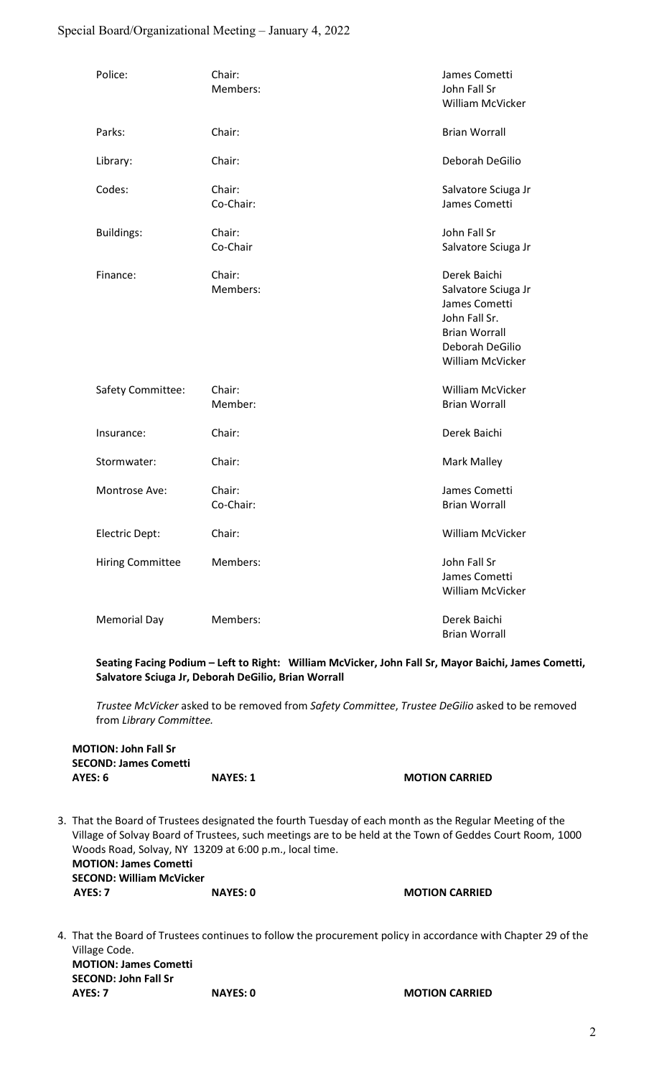# Special Board/Organizational Meeting – January 4, 2022

| Police:                 | Chair:<br>Members:  | James Cometti<br>John Fall Sr<br>William McVicker                                                                                    |
|-------------------------|---------------------|--------------------------------------------------------------------------------------------------------------------------------------|
| Parks:                  | Chair:              | <b>Brian Worrall</b>                                                                                                                 |
| Library:                | Chair:              | Deborah DeGilio                                                                                                                      |
| Codes:                  | Chair:<br>Co-Chair: | Salvatore Sciuga Jr<br>James Cometti                                                                                                 |
| <b>Buildings:</b>       | Chair:<br>Co-Chair  | John Fall Sr<br>Salvatore Sciuga Jr                                                                                                  |
| Finance:                | Chair:<br>Members:  | Derek Baichi<br>Salvatore Sciuga Jr<br>James Cometti<br>John Fall Sr.<br><b>Brian Worrall</b><br>Deborah DeGilio<br>William McVicker |
| Safety Committee:       | Chair:<br>Member:   | William McVicker<br><b>Brian Worrall</b>                                                                                             |
| Insurance:              | Chair:              | Derek Baichi                                                                                                                         |
| Stormwater:             | Chair:              | <b>Mark Malley</b>                                                                                                                   |
| Montrose Ave:           | Chair:<br>Co-Chair: | James Cometti<br><b>Brian Worrall</b>                                                                                                |
| Electric Dept:          | Chair:              | William McVicker                                                                                                                     |
| <b>Hiring Committee</b> | Members:            | John Fall Sr<br>James Cometti<br>William McVicker                                                                                    |
| <b>Memorial Day</b>     | Members:            | Derek Baichi<br><b>Brian Worrall</b>                                                                                                 |

 Seating Facing Podium – Left to Right: William McVicker, John Fall Sr, Mayor Baichi, James Cometti, Salvatore Sciuga Jr, Deborah DeGilio, Brian Worrall

Trustee McVicker asked to be removed from Safety Committee, Trustee DeGilio asked to be removed from Library Committee.

# MOTION: John Fall Sr SECOND: James Cometti AYES: 6 NAYES: 1 NAYES: 1 MOTION CARRIED

3. That the Board of Trustees designated the fourth Tuesday of each month as the Regular Meeting of the Village of Solvay Board of Trustees, such meetings are to be held at the Town of Geddes Court Room, 1000 Woods Road, Solvay, NY 13209 at 6:00 p.m., local time. MOTION: James Cometti SECOND: William McVicker AYES: 7 NAYES: 0 NAYES: 0 MOTION CARRIED

4. That the Board of Trustees continues to follow the procurement policy in accordance with Chapter 29 of the Village Code. MOTION: James Cometti SECOND: John Fall Sr AYES: 7 NAYES: 0 NAYES: 0 MOTION CARRIED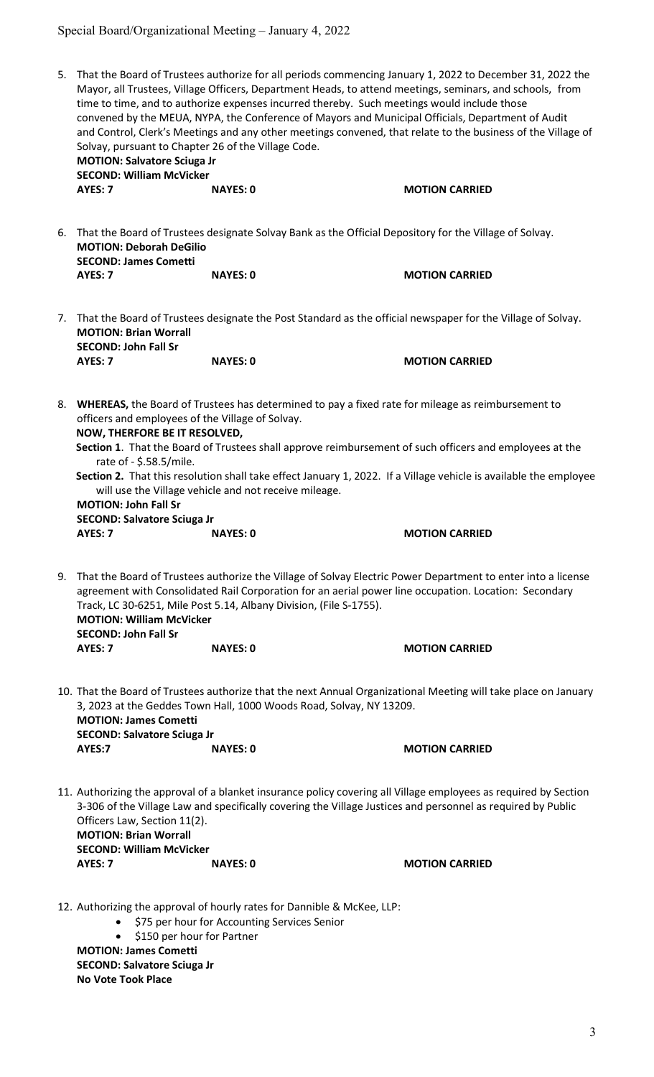# Special Board/Organizational Meeting – January 4, 2022

| 5. | That the Board of Trustees authorize for all periods commencing January 1, 2022 to December 31, 2022 the<br>Mayor, all Trustees, Village Officers, Department Heads, to attend meetings, seminars, and schools, from<br>time to time, and to authorize expenses incurred thereby. Such meetings would include those<br>convened by the MEUA, NYPA, the Conference of Mayors and Municipal Officials, Department of Audit<br>and Control, Clerk's Meetings and any other meetings convened, that relate to the business of the Village of<br>Solvay, pursuant to Chapter 26 of the Village Code.<br><b>MOTION: Salvatore Sciuga Jr</b><br><b>SECOND: William McVicker</b> |                                                                                                                                                                                                |                                                                                                                                           |  |  |
|----|--------------------------------------------------------------------------------------------------------------------------------------------------------------------------------------------------------------------------------------------------------------------------------------------------------------------------------------------------------------------------------------------------------------------------------------------------------------------------------------------------------------------------------------------------------------------------------------------------------------------------------------------------------------------------|------------------------------------------------------------------------------------------------------------------------------------------------------------------------------------------------|-------------------------------------------------------------------------------------------------------------------------------------------|--|--|
|    | AYES: 7                                                                                                                                                                                                                                                                                                                                                                                                                                                                                                                                                                                                                                                                  | <b>NAYES: 0</b>                                                                                                                                                                                | <b>MOTION CARRIED</b>                                                                                                                     |  |  |
| 6. | <b>MOTION: Deborah DeGilio</b><br><b>SECOND: James Cometti</b><br>AYES: 7                                                                                                                                                                                                                                                                                                                                                                                                                                                                                                                                                                                                | That the Board of Trustees designate Solvay Bank as the Official Depository for the Village of Solvay.<br><b>NAYES: 0</b>                                                                      | <b>MOTION CARRIED</b>                                                                                                                     |  |  |
|    | 7. That the Board of Trustees designate the Post Standard as the official newspaper for the Village of Solvay.<br><b>MOTION: Brian Worrall</b>                                                                                                                                                                                                                                                                                                                                                                                                                                                                                                                           |                                                                                                                                                                                                |                                                                                                                                           |  |  |
|    | <b>SECOND: John Fall Sr</b><br>AYES: 7                                                                                                                                                                                                                                                                                                                                                                                                                                                                                                                                                                                                                                   | <b>NAYES: 0</b>                                                                                                                                                                                | <b>MOTION CARRIED</b>                                                                                                                     |  |  |
|    | 8. WHEREAS, the Board of Trustees has determined to pay a fixed rate for mileage as reimbursement to<br>officers and employees of the Village of Solvay.<br>NOW, THERFORE BE IT RESOLVED,<br>Section 1. That the Board of Trustees shall approve reimbursement of such officers and employees at the<br>rate of - \$.58.5/mile.<br>Section 2. That this resolution shall take effect January 1, 2022. If a Village vehicle is available the employee<br>will use the Village vehicle and not receive mileage.<br><b>MOTION: John Fall Sr</b><br><b>SECOND: Salvatore Sciuga Jr</b><br>AYES: 7<br><b>NAYES: 0</b><br><b>MOTION CARRIED</b>                                |                                                                                                                                                                                                |                                                                                                                                           |  |  |
| 9. | <b>MOTION: William McVicker</b><br><b>SECOND: John Fall Sr</b><br>AYES: 7                                                                                                                                                                                                                                                                                                                                                                                                                                                                                                                                                                                                | agreement with Consolidated Rail Corporation for an aerial power line occupation. Location: Secondary<br>Track, LC 30-6251, Mile Post 5.14, Albany Division, (File S-1755).<br><b>NAYES: 0</b> | That the Board of Trustees authorize the Village of Solvay Electric Power Department to enter into a license<br><b>MOTION CARRIED</b>     |  |  |
|    | <b>MOTION: James Cometti</b><br><b>SECOND: Salvatore Sciuga Jr</b><br>AYES:7                                                                                                                                                                                                                                                                                                                                                                                                                                                                                                                                                                                             | 3, 2023 at the Geddes Town Hall, 1000 Woods Road, Solvay, NY 13209.<br><b>NAYES: 0</b>                                                                                                         | 10. That the Board of Trustees authorize that the next Annual Organizational Meeting will take place on January<br><b>MOTION CARRIED</b>  |  |  |
|    | Officers Law, Section 11(2).<br><b>MOTION: Brian Worrall</b><br><b>SECOND: William McVicker</b><br>AYES: 7                                                                                                                                                                                                                                                                                                                                                                                                                                                                                                                                                               | 3-306 of the Village Law and specifically covering the Village Justices and personnel as required by Public<br><b>NAYES: 0</b>                                                                 | 11. Authorizing the approval of a blanket insurance policy covering all Village employees as required by Section<br><b>MOTION CARRIED</b> |  |  |
|    |                                                                                                                                                                                                                                                                                                                                                                                                                                                                                                                                                                                                                                                                          | 12. Authorizing the approval of hourly rates for Dannible & McKee, LLP:<br>C <sub>7</sub> F soulsous for Assounting Comisso Conjou                                                             |                                                                                                                                           |  |  |

**•** \$75 per hour for Accounting Services Senior

• \$150 per hour for Partner

 MOTION: James Cometti SECOND: Salvatore Sciuga Jr No Vote Took Place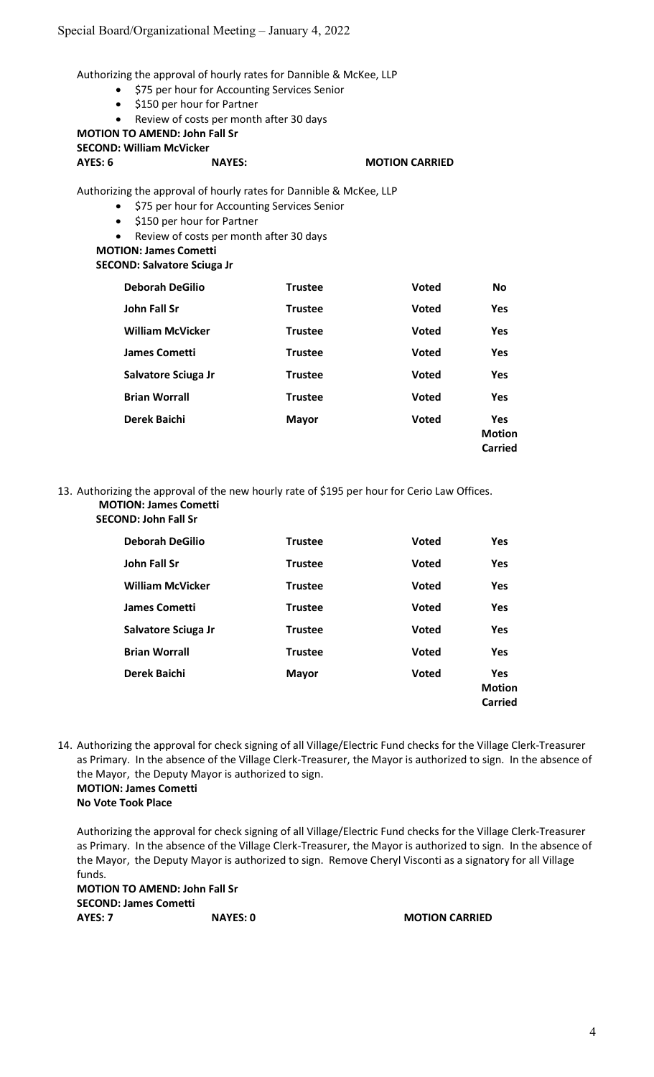Authorizing the approval of hourly rates for Dannible & McKee, LLP

- **•** \$75 per hour for Accounting Services Senior
- \$150 per hour for Partner
- Review of costs per month after 30 days

#### MOTION TO AMEND: John Fall Sr SECOND: William McVicker

# AYES: 6 NAYES: MOTION CARRIED

Authorizing the approval of hourly rates for Dannible & McKee, LLP

- **•** \$75 per hour for Accounting Services Senior
- \$150 per hour for Partner
- Review of costs per month after 30 days

#### MOTION: James Cometti SECOND: Salvatore Sciuga Jr

| <b>Trustee</b> | <b>Voted</b> | <b>No</b>                              |
|----------------|--------------|----------------------------------------|
| <b>Trustee</b> | <b>Voted</b> | <b>Yes</b>                             |
| <b>Trustee</b> | <b>Voted</b> | <b>Yes</b>                             |
| <b>Trustee</b> | <b>Voted</b> | <b>Yes</b>                             |
| <b>Trustee</b> | <b>Voted</b> | <b>Yes</b>                             |
| <b>Trustee</b> | <b>Voted</b> | Yes                                    |
| <b>Mayor</b>   | <b>Voted</b> | <b>Yes</b><br><b>Motion</b><br>Carried |
|                |              |                                        |

13. Authorizing the approval of the new hourly rate of \$195 per hour for Cerio Law Offices. MOTION: James Cometti

| <b>SECOND: John Fall Sr</b> |                |              |                                        |
|-----------------------------|----------------|--------------|----------------------------------------|
| <b>Deborah DeGilio</b>      | <b>Trustee</b> | <b>Voted</b> | <b>Yes</b>                             |
| <b>John Fall Sr</b>         | <b>Trustee</b> | <b>Voted</b> | <b>Yes</b>                             |
| <b>William McVicker</b>     | <b>Trustee</b> | <b>Voted</b> | <b>Yes</b>                             |
| <b>James Cometti</b>        | <b>Trustee</b> | <b>Voted</b> | <b>Yes</b>                             |
| Salvatore Sciuga Jr         | <b>Trustee</b> | <b>Voted</b> | <b>Yes</b>                             |
| <b>Brian Worrall</b>        | <b>Trustee</b> | <b>Voted</b> | <b>Yes</b>                             |
| Derek Baichi                | <b>Mayor</b>   | <b>Voted</b> | <b>Yes</b><br><b>Motion</b><br>Carried |

14. Authorizing the approval for check signing of all Village/Electric Fund checks for the Village Clerk-Treasurer as Primary. In the absence of the Village Clerk-Treasurer, the Mayor is authorized to sign. In the absence of the Mayor, the Deputy Mayor is authorized to sign. MOTION: James Cometti

No Vote Took Place

 Authorizing the approval for check signing of all Village/Electric Fund checks for the Village Clerk-Treasurer as Primary. In the absence of the Village Clerk-Treasurer, the Mayor is authorized to sign. In the absence of the Mayor, the Deputy Mayor is authorized to sign. Remove Cheryl Visconti as a signatory for all Village funds.

 MOTION TO AMEND: John Fall Sr SECOND: James Cometti AYES: 7 NAYES: 0 NAYES: 0 MOTION CARRIED